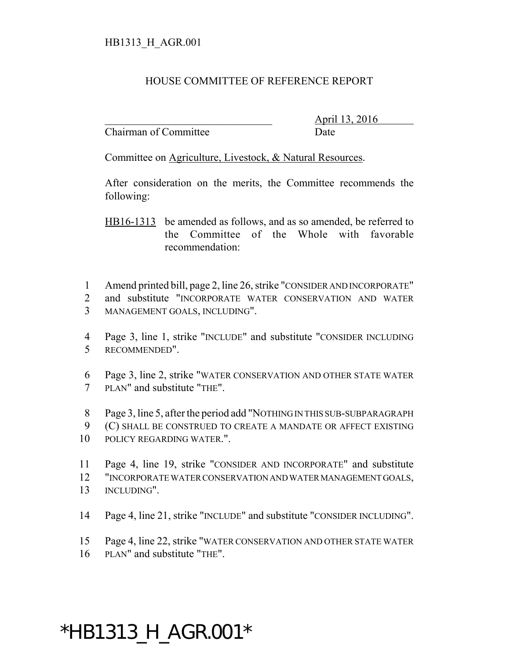## HOUSE COMMITTEE OF REFERENCE REPORT

Chairman of Committee Date

\_\_\_\_\_\_\_\_\_\_\_\_\_\_\_\_\_\_\_\_\_\_\_\_\_\_\_\_\_\_\_ April 13, 2016

Committee on Agriculture, Livestock, & Natural Resources.

After consideration on the merits, the Committee recommends the following:

HB16-1313 be amended as follows, and as so amended, be referred to the Committee of the Whole with favorable recommendation:

- 1 Amend printed bill, page 2, line 26, strike "CONSIDER AND INCORPORATE"
- 2 and substitute "INCORPORATE WATER CONSERVATION AND WATER 3 MANAGEMENT GOALS, INCLUDING".
- 4 Page 3, line 1, strike "INCLUDE" and substitute "CONSIDER INCLUDING 5 RECOMMENDED".
- 6 Page 3, line 2, strike "WATER CONSERVATION AND OTHER STATE WATER 7 PLAN" and substitute "THE".
- 8 Page 3, line 5, after the period add "NOTHING IN THIS SUB-SUBPARAGRAPH
- 9 (C) SHALL BE CONSTRUED TO CREATE A MANDATE OR AFFECT EXISTING 10 POLICY REGARDING WATER.".
- 11 Page 4, line 19, strike "CONSIDER AND INCORPORATE" and substitute 12 "INCORPORATE WATER CONSERVATION AND WATER MANAGEMENT GOALS, 13 INCLUDING".
- 14 Page 4, line 21, strike "INCLUDE" and substitute "CONSIDER INCLUDING".
- 15 Page 4, line 22, strike "WATER CONSERVATION AND OTHER STATE WATER
- 16 PLAN" and substitute "THE".

## \*HB1313\_H\_AGR.001\*